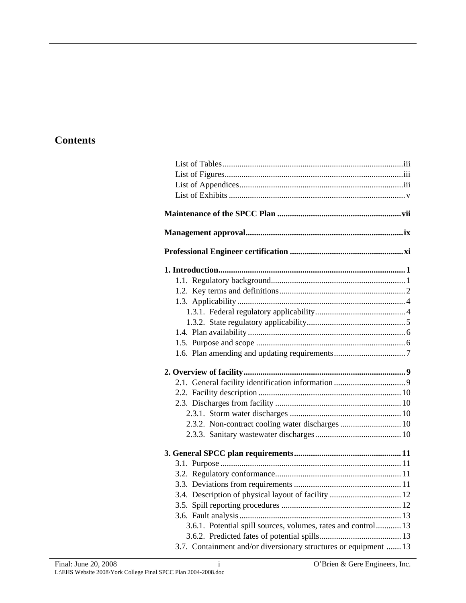# **Contents**

| 2.3.2. Non-contract cooling water discharges  10                 |  |  |  |
|------------------------------------------------------------------|--|--|--|
|                                                                  |  |  |  |
|                                                                  |  |  |  |
|                                                                  |  |  |  |
|                                                                  |  |  |  |
|                                                                  |  |  |  |
| 3.4. Description of physical layout of facility  12              |  |  |  |
|                                                                  |  |  |  |
|                                                                  |  |  |  |
|                                                                  |  |  |  |
| 3.6.1. Potential spill sources, volumes, rates and control 13    |  |  |  |
| 3.7. Containment and/or diversionary structures or equipment  13 |  |  |  |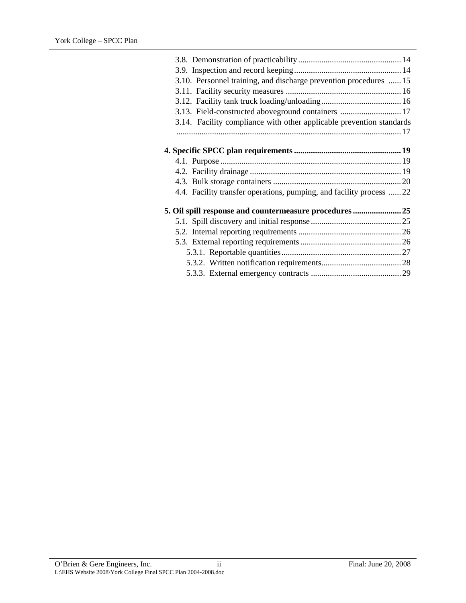| 3.10. Personnel training, and discharge prevention procedures  15    |  |
|----------------------------------------------------------------------|--|
|                                                                      |  |
|                                                                      |  |
| 3.13. Field-constructed aboveground containers  17                   |  |
| 3.14. Facility compliance with other applicable prevention standards |  |
|                                                                      |  |
|                                                                      |  |
|                                                                      |  |
|                                                                      |  |
|                                                                      |  |
|                                                                      |  |
| 4.4. Facility transfer operations, pumping, and facility process  22 |  |
|                                                                      |  |
|                                                                      |  |
|                                                                      |  |
|                                                                      |  |
|                                                                      |  |
|                                                                      |  |
|                                                                      |  |
|                                                                      |  |
|                                                                      |  |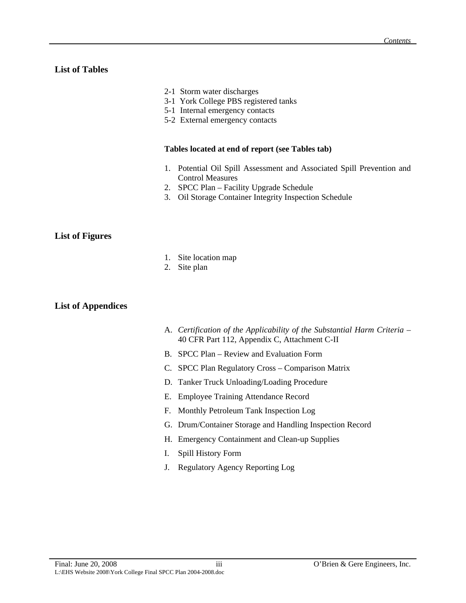# <span id="page-2-0"></span>**List of Tables**

- 2-1 Storm water discharges
- 3-1 York College PBS registered tanks
- 5-1 Internal emergency contacts
- 5-2 External emergency contacts

# **Tables located at end of report (see Tables tab)**

- 1. Potential Oil Spill Assessment and Associated Spill Prevention and Control Measures
- 2. SPCC Plan Facility Upgrade Schedule
- 3. Oil Storage Container Integrity Inspection Schedule

# **List of Figures**

- 1. Site location map
- 2. Site plan

# **List of Appendices**

- A. *Certification of the Applicability of the Substantial Harm Criteria* 40 CFR Part 112, Appendix C, Attachment C-II
- B. SPCC Plan Review and Evaluation Form
- C. SPCC Plan Regulatory Cross Comparison Matrix
- D. Tanker Truck Unloading/Loading Procedure
- E. Employee Training Attendance Record
- F. Monthly Petroleum Tank Inspection Log
- G. Drum/Container Storage and Handling Inspection Record
- H. Emergency Containment and Clean-up Supplies
- I. Spill History Form
- J. Regulatory Agency Reporting Log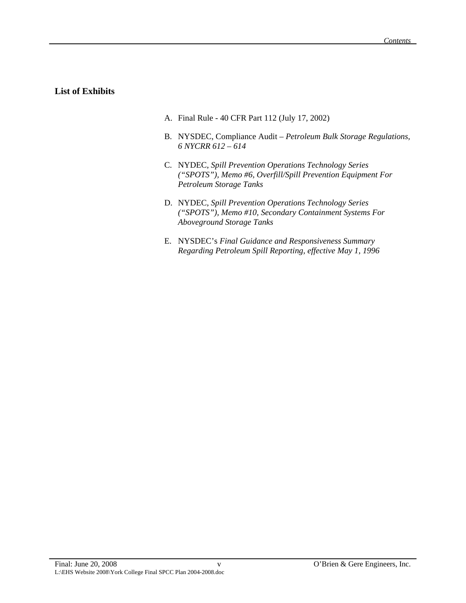# <span id="page-4-0"></span>**List of Exhibits**

- A. Final Rule 40 CFR Part 112 (July 17, 2002)
- B. NYSDEC, Compliance Audit *Petroleum Bulk Storage Regulations, 6 NYCRR 612 – 614*
- C. NYDEC, *Spill Prevention Operations Technology Series ("SPOTS"), Memo #6, Overfill/Spill Prevention Equipment For Petroleum Storage Tanks*
- D. NYDEC, *Spill Prevention Operations Technology Series ("SPOTS"), Memo #10, Secondary Containment Systems For Aboveground Storage Tanks*
- E. NYSDEC's *Final Guidance and Responsiveness Summary Regarding Petroleum Spill Reporting, effective May 1, 1996*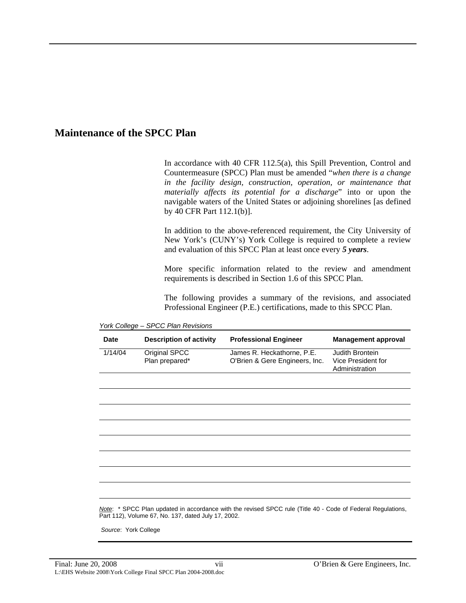# <span id="page-6-0"></span>**Maintenance of the SPCC Plan**

In accordance with 40 CFR 112.5(a), this Spill Prevention, Control and Countermeasure (SPCC) Plan must be amended "*when there is a change in the facility design, construction, operation, or maintenance that materially affects its potential for a discharge*" into or upon the navigable waters of the United States or adjoining shorelines [as defined by 40 CFR Part 112.1(b)].

In addition to the above-referenced requirement, the City University of New York's (CUNY's) York College is required to complete a review and evaluation of this SPCC Plan at least once every *5 years*.

More specific information related to the review and amendment requirements is described in Section 1.6 of this SPCC Plan.

The following provides a summary of the revisions, and associated Professional Engineer (P.E.) certifications, made to this SPCC Plan.

| <b>Date</b>                                                                                                                                                        | <b>Description of activity</b>  | <b>Professional Engineer</b>                                 | <b>Management approval</b>                              |
|--------------------------------------------------------------------------------------------------------------------------------------------------------------------|---------------------------------|--------------------------------------------------------------|---------------------------------------------------------|
| 1/14/04                                                                                                                                                            | Original SPCC<br>Plan prepared* | James R. Heckathorne, P.E.<br>O'Brien & Gere Engineers, Inc. | Judith Brontein<br>Vice President for<br>Administration |
|                                                                                                                                                                    |                                 |                                                              |                                                         |
|                                                                                                                                                                    |                                 |                                                              |                                                         |
|                                                                                                                                                                    |                                 |                                                              |                                                         |
|                                                                                                                                                                    |                                 |                                                              |                                                         |
|                                                                                                                                                                    |                                 |                                                              |                                                         |
|                                                                                                                                                                    |                                 |                                                              |                                                         |
|                                                                                                                                                                    |                                 |                                                              |                                                         |
| Note: * SPCC Plan updated in accordance with the revised SPCC rule (Title 40 - Code of Federal Regulations,<br>Part 112), Volume 67, No. 137, dated July 17, 2002. |                                 |                                                              |                                                         |

*York College – SPCC Plan Revisions* 

*Source*: York College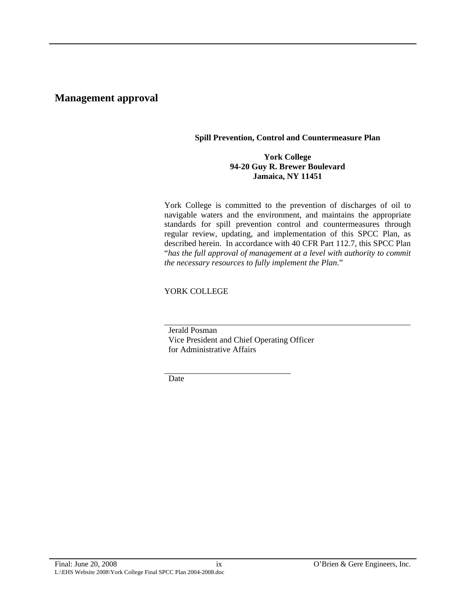# <span id="page-8-0"></span>**Management approval**

#### **Spill Prevention, Control and Countermeasure Plan**

### **York College 94-20 Guy R. Brewer Boulevard Jamaica, NY 11451**

York College is committed to the prevention of discharges of oil to navigable waters and the environment, and maintains the appropriate standards for spill prevention control and countermeasures through regular review, updating, and implementation of this SPCC Plan, as described herein. In accordance with 40 CFR Part 112.7, this SPCC Plan "*has the full approval of management at a level with authority to commit the necessary resources to fully implement the Plan*."

YORK COLLEGE

Jerald Posman

Vice President and Chief Operating Officer for Administrative Affairs

Date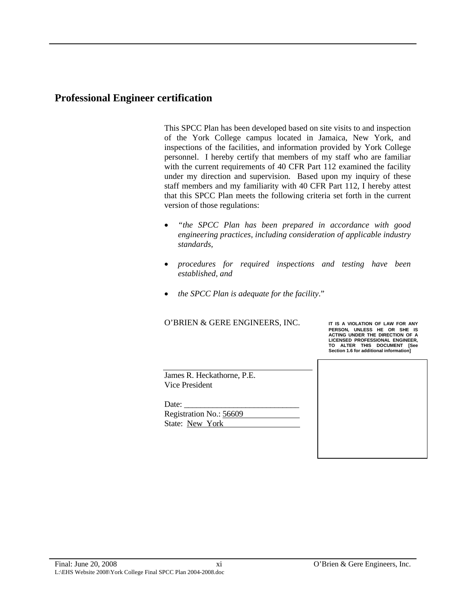# <span id="page-10-0"></span>**Professional Engineer certification**

This SPCC Plan has been developed based on site visits to and inspection of the York College campus located in Jamaica, New York, and inspections of the facilities, and information provided by York College personnel. I hereby certify that members of my staff who are familiar with the current requirements of 40 CFR Part 112 examined the facility under my direction and supervision. Based upon my inquiry of these staff members and my familiarity with 40 CFR Part 112, I hereby attest that this SPCC Plan meets the following criteria set forth in the current version of those regulations:

- *"the SPCC Plan has been prepared in accordance with good engineering practices, including consideration of applicable industry standards,*
- *procedures for required inspections and testing have been established, and*
- *the SPCC Plan is adequate for the facility*."

#### O'BRIEN & GERE ENGINEERS, INC.

**PERSON, UNLESS HE OR SHE IS ACTING UNDER THE DIRECTION OF A LICENSED PROFESSIONAL ENGINEER, TO ALTER THIS DOCUMENT [See Section 1.6 for additional information]**

James R. Heckathorne, P.E. Vice President

Date:

Registration No.: 56609 State: New York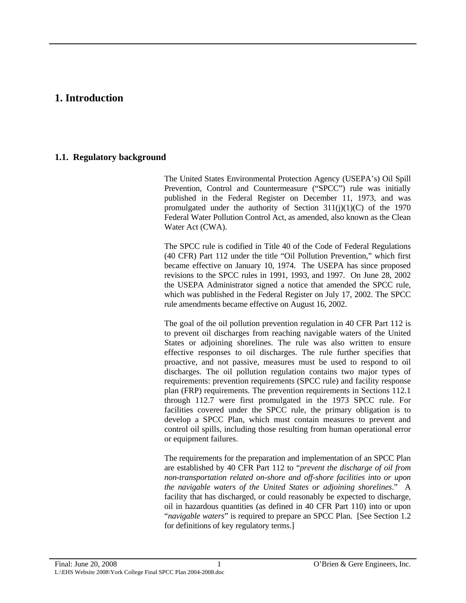# <span id="page-12-0"></span>**1. Introduction**

# **1.1. Regulatory background**

The United States Environmental Protection Agency (USEPA's) Oil Spill Prevention, Control and Countermeasure ("SPCC") rule was initially published in the Federal Register on December 11, 1973, and was promulgated under the authority of Section  $311(j)(1)(C)$  of the 1970 Federal Water Pollution Control Act, as amended, also known as the Clean Water Act (CWA).

The SPCC rule is codified in Title 40 of the Code of Federal Regulations (40 CFR) Part 112 under the title "Oil Pollution Prevention," which first became effective on January 10, 1974. The USEPA has since proposed revisions to the SPCC rules in 1991, 1993, and 1997. On June 28, 2002 the USEPA Administrator signed a notice that amended the SPCC rule, which was published in the Federal Register on July 17, 2002. The SPCC rule amendments became effective on August 16, 2002.

The goal of the oil pollution prevention regulation in 40 CFR Part 112 is to prevent oil discharges from reaching navigable waters of the United States or adjoining shorelines. The rule was also written to ensure effective responses to oil discharges. The rule further specifies that proactive, and not passive, measures must be used to respond to oil discharges. The oil pollution regulation contains two major types of requirements: prevention requirements (SPCC rule) and facility response plan (FRP) requirements. The prevention requirements in Sections 112.1 through 112.7 were first promulgated in the 1973 SPCC rule. For facilities covered under the SPCC rule, the primary obligation is to develop a SPCC Plan, which must contain measures to prevent and control oil spills, including those resulting from human operational error or equipment failures.

The requirements for the preparation and implementation of an SPCC Plan are established by 40 CFR Part 112 to "*prevent the discharge of oil from non-transportation related on-shore and off-shore facilities into or upon the navigable waters of the United States or adjoining shorelines*." A facility that has discharged, or could reasonably be expected to discharge, oil in hazardous quantities (as defined in 40 CFR Part 110) into or upon "*navigable waters*" is required to prepare an SPCC Plan. [See Section 1.2 for definitions of key regulatory terms.]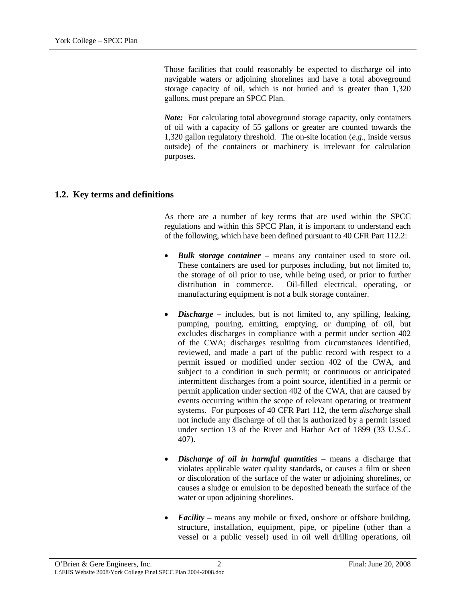<span id="page-13-0"></span>Those facilities that could reasonably be expected to discharge oil into navigable waters or adjoining shorelines and have a total aboveground storage capacity of oil, which is not buried and is greater than 1,320 gallons, must prepare an SPCC Plan.

*Note:* For calculating total aboveground storage capacity, only containers of oil with a capacity of 55 gallons or greater are counted towards the 1,320 gallon regulatory threshold. The on-site location (*e.g.*, inside versus outside) of the containers or machinery is irrelevant for calculation purposes.

# **1.2. Key terms and definitions**

As there are a number of key terms that are used within the SPCC regulations and within this SPCC Plan, it is important to understand each of the following, which have been defined pursuant to 40 CFR Part 112.2:

- *Bulk storage container* means any container used to store oil. These containers are used for purposes including, but not limited to, the storage of oil prior to use, while being used, or prior to further distribution in commerce. Oil-filled electrical, operating, or manufacturing equipment is not a bulk storage container.
- *Discharge –* includes, but is not limited to, any spilling, leaking, pumping, pouring, emitting, emptying, or dumping of oil, but excludes discharges in compliance with a permit under section 402 of the CWA; discharges resulting from circumstances identified, reviewed, and made a part of the public record with respect to a permit issued or modified under section 402 of the CWA, and subject to a condition in such permit; or continuous or anticipated intermittent discharges from a point source, identified in a permit or permit application under section 402 of the CWA, that are caused by events occurring within the scope of relevant operating or treatment systems. For purposes of 40 CFR Part 112, the term *discharge* shall not include any discharge of oil that is authorized by a permit issued under section 13 of the River and Harbor Act of 1899 (33 U.S.C. 407).
- *Discharge of oil in harmful quantities* means a discharge that violates applicable water quality standards, or causes a film or sheen or discoloration of the surface of the water or adjoining shorelines, or causes a sludge or emulsion to be deposited beneath the surface of the water or upon adjoining shorelines.
- *Facility* means any mobile or fixed, onshore or offshore building, structure, installation, equipment, pipe, or pipeline (other than a vessel or a public vessel) used in oil well drilling operations, oil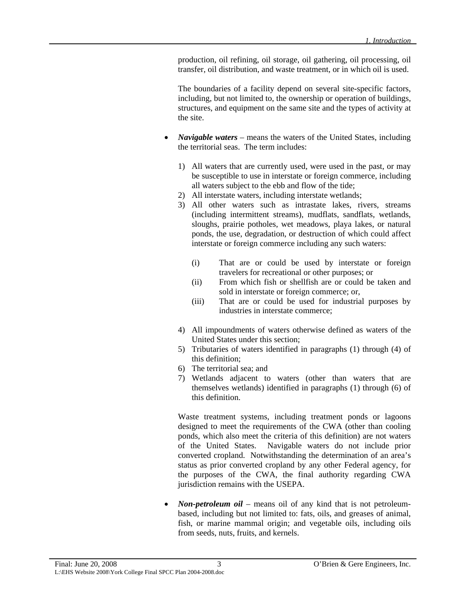production, oil refining, oil storage, oil gathering, oil processing, oil transfer, oil distribution, and waste treatment, or in which oil is used.

The boundaries of a facility depend on several site-specific factors, including, but not limited to, the ownership or operation of buildings, structures, and equipment on the same site and the types of activity at the site.

- *Navigable waters* means the waters of the United States, including the territorial seas. The term includes:
	- 1) All waters that are currently used, were used in the past, or may be susceptible to use in interstate or foreign commerce, including all waters subject to the ebb and flow of the tide;
	- 2) All interstate waters, including interstate wetlands;
	- 3) All other waters such as intrastate lakes, rivers, streams (including intermittent streams), mudflats, sandflats, wetlands, sloughs, prairie potholes, wet meadows, playa lakes, or natural ponds, the use, degradation, or destruction of which could affect interstate or foreign commerce including any such waters:
		- (i) That are or could be used by interstate or foreign travelers for recreational or other purposes; or
		- (ii) From which fish or shellfish are or could be taken and sold in interstate or foreign commerce; or,
		- (iii) That are or could be used for industrial purposes by industries in interstate commerce;
	- 4) All impoundments of waters otherwise defined as waters of the United States under this section;
	- 5) Tributaries of waters identified in paragraphs (1) through (4) of this definition;
	- 6) The territorial sea; and
	- 7) Wetlands adjacent to waters (other than waters that are themselves wetlands) identified in paragraphs (1) through (6) of this definition.

Waste treatment systems, including treatment ponds or lagoons designed to meet the requirements of the CWA (other than cooling ponds, which also meet the criteria of this definition) are not waters of the United States. Navigable waters do not include prior converted cropland. Notwithstanding the determination of an area's status as prior converted cropland by any other Federal agency, for the purposes of the CWA, the final authority regarding CWA jurisdiction remains with the USEPA.

• *Non-petroleum oil* – means oil of any kind that is not petroleumbased, including but not limited to: fats, oils, and greases of animal, fish, or marine mammal origin; and vegetable oils, including oils from seeds, nuts, fruits, and kernels.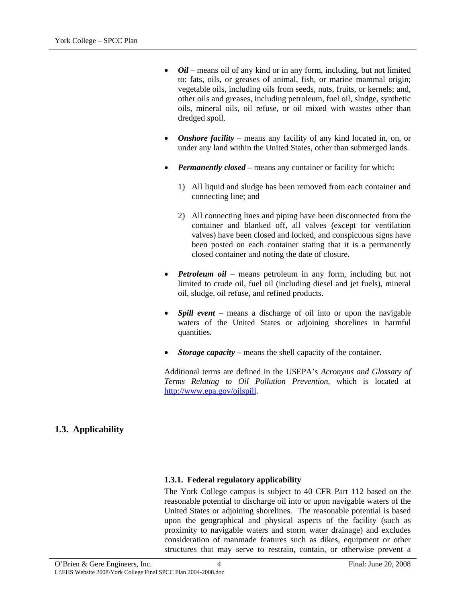- <span id="page-15-0"></span>• *Oil* – means oil of any kind or in any form, including, but not limited to: fats, oils, or greases of animal, fish, or marine mammal origin; vegetable oils, including oils from seeds, nuts, fruits, or kernels; and, other oils and greases, including petroleum, fuel oil, sludge, synthetic oils, mineral oils, oil refuse, or oil mixed with wastes other than dredged spoil.
- *Onshore facility* means any facility of any kind located in, on, or under any land within the United States, other than submerged lands.
- *Permanently closed* means any container or facility for which:
	- 1) All liquid and sludge has been removed from each container and connecting line; and
	- 2) All connecting lines and piping have been disconnected from the container and blanked off, all valves (except for ventilation valves) have been closed and locked, and conspicuous signs have been posted on each container stating that it is a permanently closed container and noting the date of closure.
- *Petroleum oil* means petroleum in any form, including but not limited to crude oil, fuel oil (including diesel and jet fuels), mineral oil, sludge, oil refuse, and refined products.
- *Spill event* means a discharge of oil into or upon the navigable waters of the United States or adjoining shorelines in harmful quantities.
- *Storage capacity* means the shell capacity of the container.

Additional terms are defined in the USEPA's *Acronyms and Glossary of Terms Relating to Oil Pollution Prevention*, which is located at [http://www.epa.gov/oilspill.](http://www.epa.gove/oilspill)

# **1.3. Applicability**

# **1.3.1. Federal regulatory applicability**

The York College campus is subject to 40 CFR Part 112 based on the reasonable potential to discharge oil into or upon navigable waters of the United States or adjoining shorelines. The reasonable potential is based upon the geographical and physical aspects of the facility (such as proximity to navigable waters and storm water drainage) and excludes consideration of manmade features such as dikes, equipment or other structures that may serve to restrain, contain, or otherwise prevent a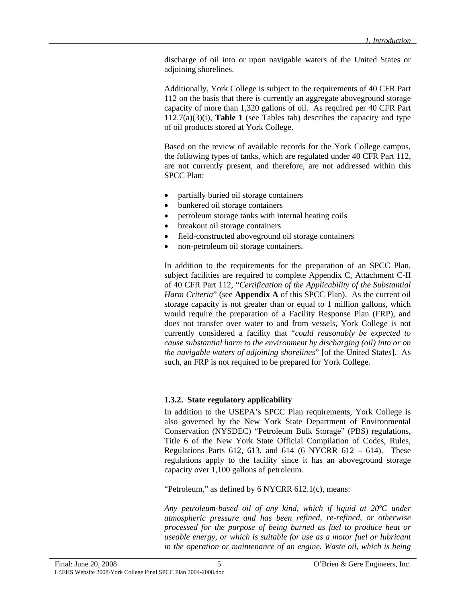<span id="page-16-0"></span>discharge of oil into or upon navigable waters of the United States or adjoining shorelines.

Additionally, York College is subject to the requirements of 40 CFR Part 112 on the basis that there is currently an aggregate aboveground storage capacity of more than 1,320 gallons of oil. As required per 40 CFR Part 112.7(a)(3)(i), **Table 1** (see Tables tab) describes the capacity and type of oil products stored at York College.

Based on the review of available records for the York College campus, the following types of tanks, which are regulated under 40 CFR Part 112, are not currently present, and therefore, are not addressed within this SPCC Plan:

- partially buried oil storage containers
- bunkered oil storage containers
- petroleum storage tanks with internal heating coils
- breakout oil storage containers
- field-constructed aboveground oil storage containers
- non-petroleum oil storage containers.

In addition to the requirements for the preparation of an SPCC Plan, subject facilities are required to complete Appendix C, Attachment C-II of 40 CFR Part 112, "*Certification of the Applicability of the Substantial Harm Criteria*" (see **Appendix A** of this SPCC Plan). As the current oil storage capacity is not greater than or equal to 1 million gallons, which would require the preparation of a Facility Response Plan (FRP), and does not transfer over water to and from vessels, York College is not currently considered a facility that "*could reasonably be expected to cause substantial harm to the environment by discharging (oil) into or on the navigable waters of adjoining shorelines*" [of the United States]. As such, an FRP is not required to be prepared for York College.

#### **1.3.2. State regulatory applicability**

In addition to the USEPA's SPCC Plan requirements, York College is also governed by the New York State Department of Environmental Conservation (NYSDEC) "Petroleum Bulk Storage" (PBS) regulations, Title 6 of the New York State Official Compilation of Codes, Rules, Regulations Parts 612, 613, and 614 (6 NYCRR 612 – 614). These regulations apply to the facility since it has an aboveground storage capacity over 1,100 gallons of petroleum.

"Petroleum," as defined by 6 NYCRR 612.1(c), means:

*Any petroleum-based oil of any kind, which if liquid at 20ºC under atmospheric pressure and has been refined, re-refined, or otherwise processed for the purpose of being burned as fuel to produce heat or useable energy, or which is suitable for use as a motor fuel or lubricant in the operation or maintenance of an engine. Waste oil, which is being*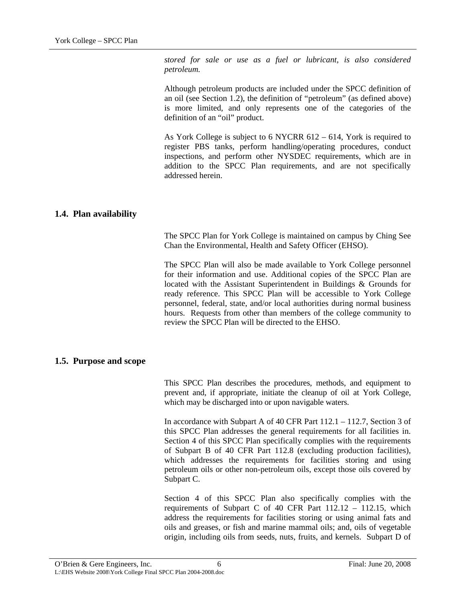<span id="page-17-0"></span>*stored for sale or use as a fuel or lubricant, is also considered petroleum.* 

Although petroleum products are included under the SPCC definition of an oil (see Section 1.2), the definition of "petroleum" (as defined above) is more limited, and only represents one of the categories of the definition of an "oil" product.

As York College is subject to 6 NYCRR 612 – 614, York is required to register PBS tanks, perform handling/operating procedures, conduct inspections, and perform other NYSDEC requirements, which are in addition to the SPCC Plan requirements, and are not specifically addressed herein.

### **1.4. Plan availability**

The SPCC Plan for York College is maintained on campus by Ching See Chan the Environmental, Health and Safety Officer (EHSO).

The SPCC Plan will also be made available to York College personnel for their information and use. Additional copies of the SPCC Plan are located with the Assistant Superintendent in Buildings & Grounds for ready reference. This SPCC Plan will be accessible to York College personnel, federal, state, and/or local authorities during normal business hours. Requests from other than members of the college community to review the SPCC Plan will be directed to the EHSO.

#### **1.5. Purpose and scope**

This SPCC Plan describes the procedures, methods, and equipment to prevent and, if appropriate, initiate the cleanup of oil at York College, which may be discharged into or upon navigable waters.

In accordance with Subpart A of 40 CFR Part 112.1 – 112.7, Section 3 of this SPCC Plan addresses the general requirements for all facilities in. Section 4 of this SPCC Plan specifically complies with the requirements of Subpart B of 40 CFR Part 112.8 (excluding production facilities), which addresses the requirements for facilities storing and using petroleum oils or other non-petroleum oils, except those oils covered by Subpart C.

Section 4 of this SPCC Plan also specifically complies with the requirements of Subpart C of 40 CFR Part 112.12 – 112.15, which address the requirements for facilities storing or using animal fats and oils and greases, or fish and marine mammal oils; and, oils of vegetable origin, including oils from seeds, nuts, fruits, and kernels. Subpart D of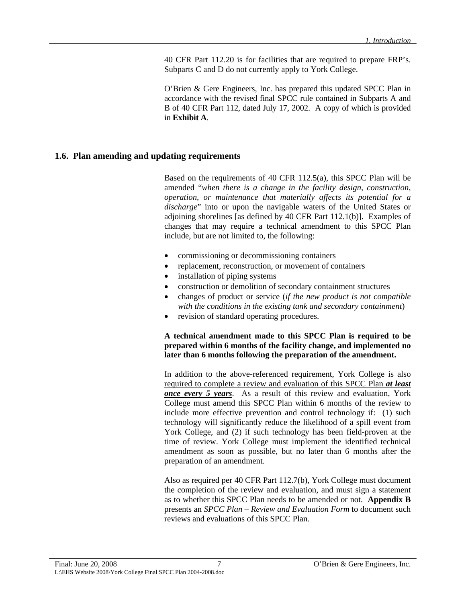40 CFR Part 112.20 is for facilities that are required to prepare FRP's. Subparts C and D do not currently apply to York College.

O'Brien & Gere Engineers, Inc. has prepared this updated SPCC Plan in accordance with the revised final SPCC rule contained in Subparts A and B of 40 CFR Part 112, dated July 17, 2002. A copy of which is provided in **Exhibit A**.

#### <span id="page-18-0"></span>**1.6. Plan amending and updating requirements**

Based on the requirements of 40 CFR 112.5(a), this SPCC Plan will be amended "*when there is a change in the facility design, construction, operation, or maintenance that materially affects its potential for a discharge*" into or upon the navigable waters of the United States or adjoining shorelines [as defined by 40 CFR Part 112.1(b)]. Examples of changes that may require a technical amendment to this SPCC Plan include, but are not limited to, the following:

- commissioning or decommissioning containers
- replacement, reconstruction, or movement of containers
- installation of piping systems
- construction or demolition of secondary containment structures
- changes of product or service (*if the new product is not compatible with the conditions in the existing tank and secondary containment*)
- revision of standard operating procedures.

#### **A technical amendment made to this SPCC Plan is required to be prepared within 6 months of the facility change, and implemented no later than 6 months following the preparation of the amendment.**

In addition to the above-referenced requirement, York College is also required to complete a review and evaluation of this SPCC Plan *at least once every 5 years*. As a result of this review and evaluation, York College must amend this SPCC Plan within 6 months of the review to include more effective prevention and control technology if: (1) such technology will significantly reduce the likelihood of a spill event from York College, and (2) if such technology has been field-proven at the time of review. York College must implement the identified technical amendment as soon as possible, but no later than 6 months after the preparation of an amendment.

Also as required per 40 CFR Part 112.7(b), York College must document the completion of the review and evaluation, and must sign a statement as to whether this SPCC Plan needs to be amended or not. **Appendix B** presents an *SPCC Plan – Review and Evaluation Form* to document such reviews and evaluations of this SPCC Plan.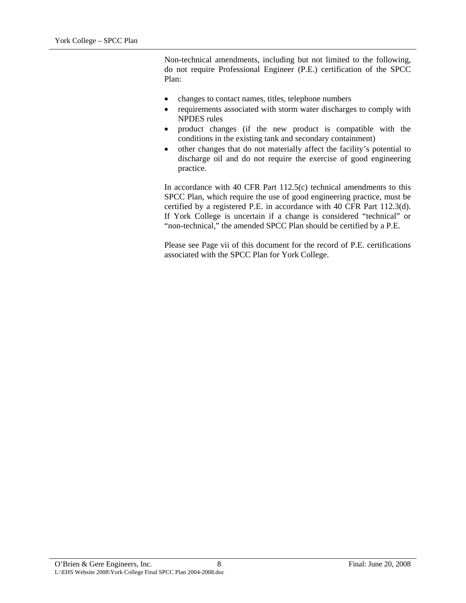Non-technical amendments, including but not limited to the following, do not require Professional Engineer (P.E.) certification of the SPCC Plan:

- changes to contact names, titles, telephone numbers
- requirements associated with storm water discharges to comply with NPDES rules
- product changes (if the new product is compatible with the conditions in the existing tank and secondary containment)
- other changes that do not materially affect the facility's potential to discharge oil and do not require the exercise of good engineering practice.

In accordance with 40 CFR Part 112.5(c) technical amendments to this SPCC Plan, which require the use of good engineering practice, must be certified by a registered P.E. in accordance with 40 CFR Part 112.3(d). If York College is uncertain if a change is considered "technical" or "non-technical," the amended SPCC Plan should be certified by a P.E.

Please see Page vii of this document for the record of P.E. certifications associated with the SPCC Plan for York College.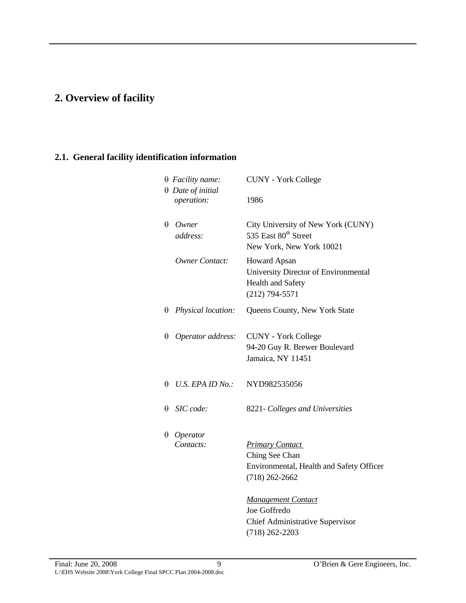# <span id="page-20-0"></span>**2. Overview of facility**

# **2.1. General facility identification information**

|   | $\theta$ Facility name:                | <b>CUNY</b> - York College                                                                               |
|---|----------------------------------------|----------------------------------------------------------------------------------------------------------|
|   | $\theta$ Date of initial<br>operation: | 1986                                                                                                     |
| θ | Owner<br>address:                      | City University of New York (CUNY)<br>535 East 80 <sup>th</sup> Street<br>New York, New York 10021       |
|   | <b>Owner Contact:</b>                  | <b>Howard Apsan</b><br>University Director of Environmental<br>Health and Safety<br>$(212)$ 794-5571     |
| θ | Physical location:                     | Queens County, New York State                                                                            |
| θ | Operator address:                      | <b>CUNY - York College</b><br>94-20 Guy R. Brewer Boulevard<br>Jamaica, NY 11451                         |
| θ | U.S. EPA ID No.:                       | NYD982535056                                                                                             |
| θ | SIC code:                              | 8221- Colleges and Universities                                                                          |
| θ | Operator<br>Contacts:                  | <b>Primary Contact</b><br>Ching See Chan<br>Environmental, Health and Safety Officer<br>$(718)$ 262-2662 |
|   |                                        | <b>Management Contact</b><br>Joe Goffredo<br><b>Chief Administrative Supervisor</b>                      |

(718) 262-2203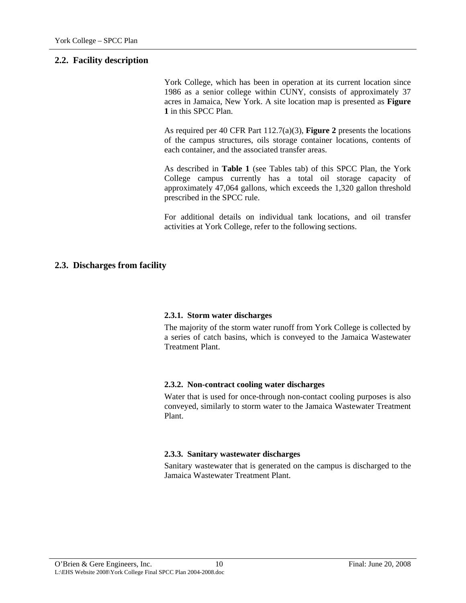### <span id="page-21-0"></span>**2.2. Facility description**

York College, which has been in operation at its current location since 1986 as a senior college within CUNY, consists of approximately 37 acres in Jamaica, New York. A site location map is presented as **Figure 1** in this SPCC Plan.

As required per 40 CFR Part 112.7(a)(3), **Figure 2** presents the locations of the campus structures, oils storage container locations, contents of each container, and the associated transfer areas.

As described in **Table 1** (see Tables tab) of this SPCC Plan, the York College campus currently has a total oil storage capacity of approximately 47,064 gallons, which exceeds the 1,320 gallon threshold prescribed in the SPCC rule.

For additional details on individual tank locations, and oil transfer activities at York College, refer to the following sections.

### **2.3. Discharges from facility**

#### **2.3.1. Storm water discharges**

The majority of the storm water runoff from York College is collected by a series of catch basins, which is conveyed to the Jamaica Wastewater Treatment Plant.

#### **2.3.2. Non-contract cooling water discharges**

Water that is used for once-through non-contact cooling purposes is also conveyed, similarly to storm water to the Jamaica Wastewater Treatment Plant.

#### **2.3.3. Sanitary wastewater discharges**

Sanitary wastewater that is generated on the campus is discharged to the Jamaica Wastewater Treatment Plant.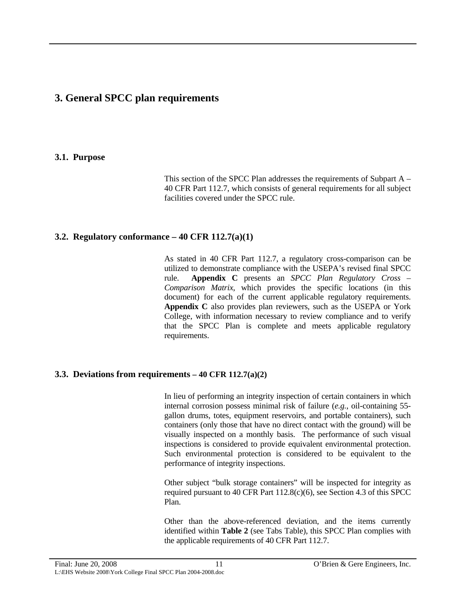# <span id="page-22-0"></span>**3. General SPCC plan requirements**

### **3.1. Purpose**

This section of the SPCC Plan addresses the requirements of Subpart A – 40 CFR Part 112.7, which consists of general requirements for all subject facilities covered under the SPCC rule.

# **3.2. Regulatory conformance – 40 CFR 112.7(a)(1)**

As stated in 40 CFR Part 112.7, a regulatory cross-comparison can be utilized to demonstrate compliance with the USEPA's revised final SPCC rule. **Appendix C** presents an *SPCC Plan Regulatory Cross – Comparison Matrix*, which provides the specific locations (in this document) for each of the current applicable regulatory requirements. **Appendix C** also provides plan reviewers, such as the USEPA or York College, with information necessary to review compliance and to verify that the SPCC Plan is complete and meets applicable regulatory requirements.

#### **3.3. Deviations from requirements – 40 CFR 112.7(a)(2)**

In lieu of performing an integrity inspection of certain containers in which internal corrosion possess minimal risk of failure (*e.g.*, oil-containing 55 gallon drums, totes, equipment reservoirs, and portable containers), such containers (only those that have no direct contact with the ground) will be visually inspected on a monthly basis. The performance of such visual inspections is considered to provide equivalent environmental protection. Such environmental protection is considered to be equivalent to the performance of integrity inspections.

Other subject "bulk storage containers" will be inspected for integrity as required pursuant to 40 CFR Part 112.8(c)(6), see Section 4.3 of this SPCC Plan.

Other than the above-referenced deviation, and the items currently identified within **Table 2** (see Tabs Table), this SPCC Plan complies with the applicable requirements of 40 CFR Part 112.7.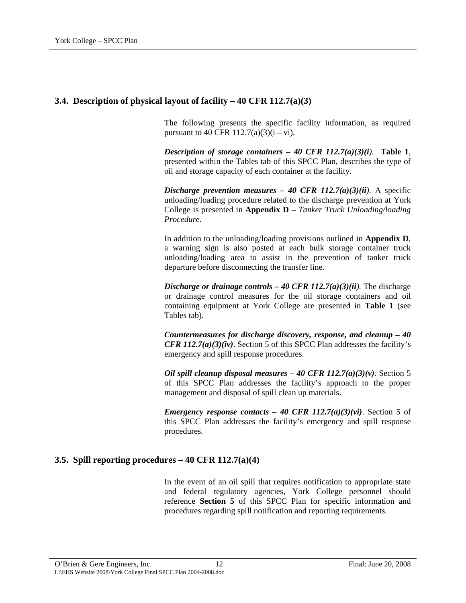# <span id="page-23-0"></span>**3.4. Description of physical layout of facility – 40 CFR 112.7(a)(3)**

The following presents the specific facility information, as required pursuant to 40 CFR  $112.7(a)(3)(i - vi)$ .

*Description of storage containers – 40 CFR 112.7(a)(3)(i).* **Table 1**, presented within the Tables tab of this SPCC Plan, describes the type of oil and storage capacity of each container at the facility.

*Discharge prevention measures – 40 CFR 112.7(a)(3)(ii).* A specific unloading/loading procedure related to the discharge prevention at York College is presented in **Appendix D** – *Tanker Truck Unloading/loading Procedure*.

In addition to the unloading/loading provisions outlined in **Appendix D**, a warning sign is also posted at each bulk storage container truck unloading/loading area to assist in the prevention of tanker truck departure before disconnecting the transfer line.

*Discharge or drainage controls – 40 CFR 112.7(a)(3)(ii).* The discharge or drainage control measures for the oil storage containers and oil containing equipment at York College are presented in **Table 1** (see Tables tab).

*Countermeasures for discharge discovery, response, and cleanup – 40 CFR 112.7(a)(3)(iv)*. Section 5 of this SPCC Plan addresses the facility's emergency and spill response procedures.

*Oil spill cleanup disposal measures – 40 CFR 112.7(a)(3)(v)*. Section 5 of this SPCC Plan addresses the facility's approach to the proper management and disposal of spill clean up materials.

*Emergency response contacts – 40 CFR 112.7(a)(3)(vi)*. Section 5 of this SPCC Plan addresses the facility's emergency and spill response procedures.

# **3.5. Spill reporting procedures – 40 CFR 112.7(a)(4)**

In the event of an oil spill that requires notification to appropriate state and federal regulatory agencies, York College personnel should reference **Section 5** of this SPCC Plan for specific information and procedures regarding spill notification and reporting requirements.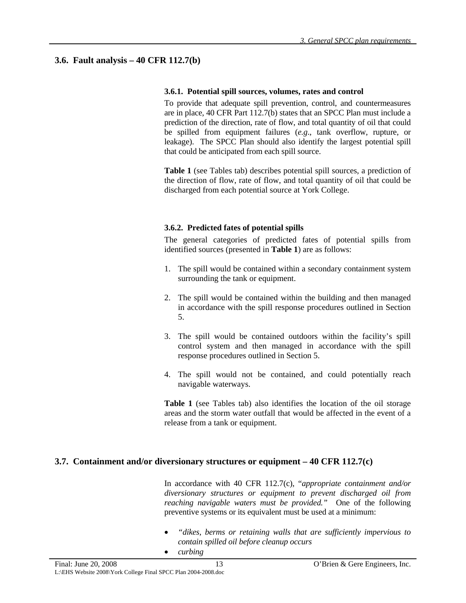# <span id="page-24-0"></span>**3.6. Fault analysis – 40 CFR 112.7(b)**

#### **3.6.1. Potential spill sources, volumes, rates and control**

To provide that adequate spill prevention, control, and countermeasures are in place, 40 CFR Part 112.7(b) states that an SPCC Plan must include a prediction of the direction, rate of flow, and total quantity of oil that could be spilled from equipment failures (*e.g*., tank overflow, rupture, or leakage). The SPCC Plan should also identify the largest potential spill that could be anticipated from each spill source.

**Table 1** (see Tables tab) describes potential spill sources, a prediction of the direction of flow, rate of flow, and total quantity of oil that could be discharged from each potential source at York College.

### **3.6.2. Predicted fates of potential spills**

The general categories of predicted fates of potential spills from identified sources (presented in **Table 1**) are as follows:

- 1. The spill would be contained within a secondary containment system surrounding the tank or equipment.
- 2. The spill would be contained within the building and then managed in accordance with the spill response procedures outlined in Section 5.
- 3. The spill would be contained outdoors within the facility's spill control system and then managed in accordance with the spill response procedures outlined in Section 5.
- 4. The spill would not be contained, and could potentially reach navigable waterways.

**Table 1** (see Tables tab) also identifies the location of the oil storage areas and the storm water outfall that would be affected in the event of a release from a tank or equipment.

# **3.7. Containment and/or diversionary structures or equipment – 40 CFR 112.7(c)**

In accordance with 40 CFR 112.7(c), "*appropriate containment and/or diversionary structures or equipment to prevent discharged oil from reaching navigable waters must be provided."* One of the following preventive systems or its equivalent must be used at a minimum:

- *"dikes, berms or retaining walls that are sufficiently impervious to contain spilled oil before cleanup occurs*
- *curbing*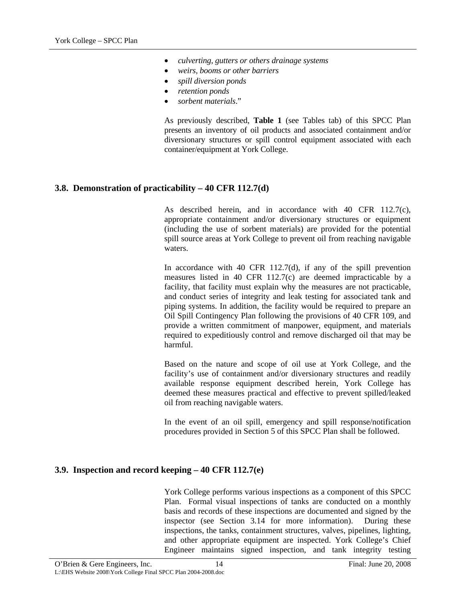- <span id="page-25-0"></span>• *culverting, gutters or others drainage systems*
- *weirs, booms or other barriers*
- *spill diversion ponds*
- *retention ponds*
- *sorbent materials*."

As previously described, **Table 1** (see Tables tab) of this SPCC Plan presents an inventory of oil products and associated containment and/or diversionary structures or spill control equipment associated with each container/equipment at York College.

# **3.8. Demonstration of practicability – 40 CFR 112.7(d)**

As described herein, and in accordance with 40 CFR 112.7(c), appropriate containment and/or diversionary structures or equipment (including the use of sorbent materials) are provided for the potential spill source areas at York College to prevent oil from reaching navigable waters.

In accordance with 40 CFR 112.7(d), if any of the spill prevention measures listed in 40 CFR 112.7(c) are deemed impracticable by a facility, that facility must explain why the measures are not practicable, and conduct series of integrity and leak testing for associated tank and piping systems. In addition, the facility would be required to prepare an Oil Spill Contingency Plan following the provisions of 40 CFR 109, and provide a written commitment of manpower, equipment, and materials required to expeditiously control and remove discharged oil that may be harmful.

Based on the nature and scope of oil use at York College, and the facility's use of containment and/or diversionary structures and readily available response equipment described herein, York College has deemed these measures practical and effective to prevent spilled/leaked oil from reaching navigable waters.

In the event of an oil spill, emergency and spill response/notification procedures provided in Section 5 of this SPCC Plan shall be followed.

# **3.9. Inspection and record keeping – 40 CFR 112.7(e)**

York College performs various inspections as a component of this SPCC Plan. Formal visual inspections of tanks are conducted on a monthly basis and records of these inspections are documented and signed by the inspector (see Section 3.14 for more information). During these inspections, the tanks, containment structures, valves, pipelines, lighting, and other appropriate equipment are inspected. York College's Chief Engineer maintains signed inspection, and tank integrity testing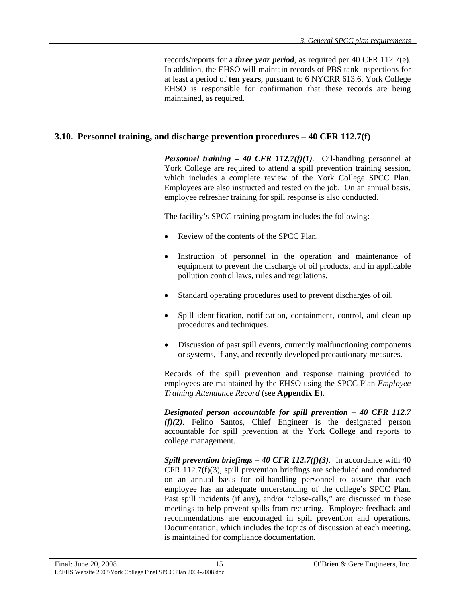records/reports for a *three year period*, as required per 40 CFR 112.7(e). In addition, the EHSO will maintain records of PBS tank inspections for at least a period of **ten years**, pursuant to 6 NYCRR 613.6. York College EHSO is responsible for confirmation that these records are being maintained, as required.

# <span id="page-26-0"></span>**3.10. Personnel training, and discharge prevention procedures – 40 CFR 112.7(f)**

*Personnel training – 40 CFR 112.7(f)(1).* Oil-handling personnel at York College are required to attend a spill prevention training session, which includes a complete review of the York College SPCC Plan. Employees are also instructed and tested on the job. On an annual basis, employee refresher training for spill response is also conducted.

The facility's SPCC training program includes the following:

- Review of the contents of the SPCC Plan.
- Instruction of personnel in the operation and maintenance of equipment to prevent the discharge of oil products, and in applicable pollution control laws, rules and regulations.
- Standard operating procedures used to prevent discharges of oil.
- Spill identification, notification, containment, control, and clean-up procedures and techniques.
- Discussion of past spill events, currently malfunctioning components or systems, if any, and recently developed precautionary measures.

Records of the spill prevention and response training provided to employees are maintained by the EHSO using the SPCC Plan *Employee Training Attendance Record* (see **Appendix E**).

*Designated person accountable for spill prevention – 40 CFR 112.7 (f)(2).* Felino Santos, Chief Engineer is the designated person accountable for spill prevention at the York College and reports to college management.

*Spill prevention briefings – 40 CFR 112.7(f)(3).* In accordance with 40 CFR 112.7(f)(3), spill prevention briefings are scheduled and conducted on an annual basis for oil-handling personnel to assure that each employee has an adequate understanding of the college's SPCC Plan. Past spill incidents (if any), and/or "close-calls," are discussed in these meetings to help prevent spills from recurring. Employee feedback and recommendations are encouraged in spill prevention and operations. Documentation, which includes the topics of discussion at each meeting, is maintained for compliance documentation.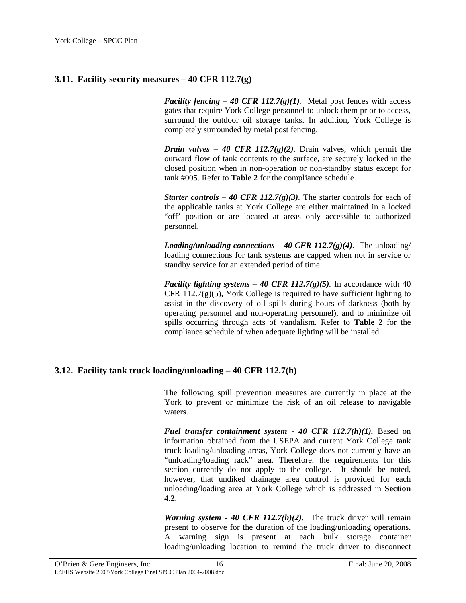# <span id="page-27-0"></span>**3.11. Facility security measures – 40 CFR 112.7(g)**

*Facility fencing – 40 CFR 112.7(g)(1).* Metal post fences with access gates that require York College personnel to unlock them prior to access, surround the outdoor oil storage tanks. In addition, York College is completely surrounded by metal post fencing.

*Drain valves – 40 CFR 112.7(g)(2).* Drain valves, which permit the outward flow of tank contents to the surface, are securely locked in the closed position when in non-operation or non-standby status except for tank #005. Refer to **Table 2** for the compliance schedule.

*Starter controls – 40 CFR 112.7(g)(3).* The starter controls for each of the applicable tanks at York College are either maintained in a locked "off' position or are located at areas only accessible to authorized personnel.

*Loading/unloading connections – 40 CFR 112.7(g)(4).* The unloading/ loading connections for tank systems are capped when not in service or standby service for an extended period of time.

*Facility lighting systems – 40 CFR 112.7(g)(5).* In accordance with 40 CFR 112.7 $(g)(5)$ , York College is required to have sufficient lighting to assist in the discovery of oil spills during hours of darkness (both by operating personnel and non-operating personnel), and to minimize oil spills occurring through acts of vandalism. Refer to **Table 2** for the compliance schedule of when adequate lighting will be installed.

#### **3.12. Facility tank truck loading/unloading – 40 CFR 112.7(h)**

The following spill prevention measures are currently in place at the York to prevent or minimize the risk of an oil release to navigable waters.

*Fuel transfer containment system - 40 CFR 112.7(h)(1).* Based on information obtained from the USEPA and current York College tank truck loading/unloading areas, York College does not currently have an "unloading/loading rack" area. Therefore, the requirements for this section currently do not apply to the college. It should be noted, however, that undiked drainage area control is provided for each unloading/loading area at York College which is addressed in **Section 4.2**.

*Warning system - 40 CFR 112.7(h)(2)*. The truck driver will remain present to observe for the duration of the loading/unloading operations. A warning sign is present at each bulk storage container loading/unloading location to remind the truck driver to disconnect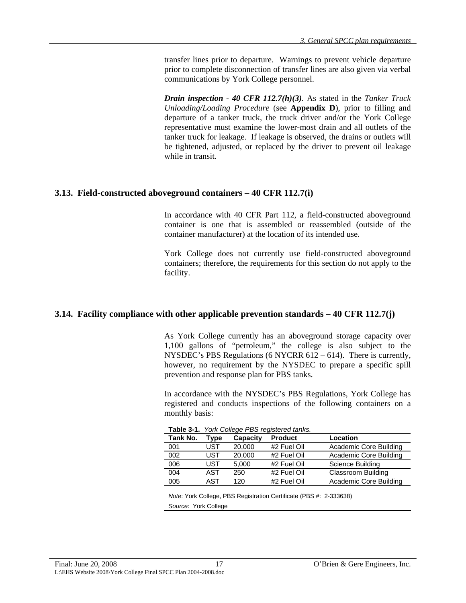<span id="page-28-0"></span>transfer lines prior to departure. Warnings to prevent vehicle departure prior to complete disconnection of transfer lines are also given via verbal communications by York College personnel.

*Drain inspection - 40 CFR 112.7(h)(3).* As stated in the *Tanker Truck Unloading/Loading Procedure* (see **Appendix D**), prior to filling and departure of a tanker truck, the truck driver and/or the York College representative must examine the lower-most drain and all outlets of the tanker truck for leakage. If leakage is observed, the drains or outlets will be tightened, adjusted, or replaced by the driver to prevent oil leakage while in transit.

### **3.13. Field-constructed aboveground containers – 40 CFR 112.7(i)**

In accordance with 40 CFR Part 112, a field-constructed aboveground container is one that is assembled or reassembled (outside of the container manufacturer) at the location of its intended use.

York College does not currently use field-constructed aboveground containers; therefore, the requirements for this section do not apply to the facility.

# **3.14. Facility compliance with other applicable prevention standards – 40 CFR 112.7(j)**

As York College currently has an aboveground storage capacity over 1,100 gallons of "petroleum," the college is also subject to the NYSDEC's PBS Regulations (6 NYCRR 612 – 614). There is currently, however, no requirement by the NYSDEC to prepare a specific spill prevention and response plan for PBS tanks.

In accordance with the NYSDEC's PBS Regulations, York College has registered and conducts inspections of the following containers on a monthly basis:

| $\frac{1}{2}$ |      |          |                |                        |
|---------------|------|----------|----------------|------------------------|
| Tank No.      | Type | Capacity | <b>Product</b> | Location               |
| 001           | UST  | 20,000   | #2 Fuel Oil    | Academic Core Building |
| 002           | UST  | 20,000   | #2 Fuel Oil    | Academic Core Building |
| 006           | UST  | 5.000    | #2 Fuel Oil    | Science Building       |
| 004           | AST  | 250      | #2 Fuel Oil    | Classroom Building     |
| 005           | AST  | 120      | #2 Fuel Oil    | Academic Core Building |

**Table 3-1.** *York College PBS registered tanks.*

*Note*: York College, PBS Registration Certificate (PBS #: 2-333638) *Source*: York College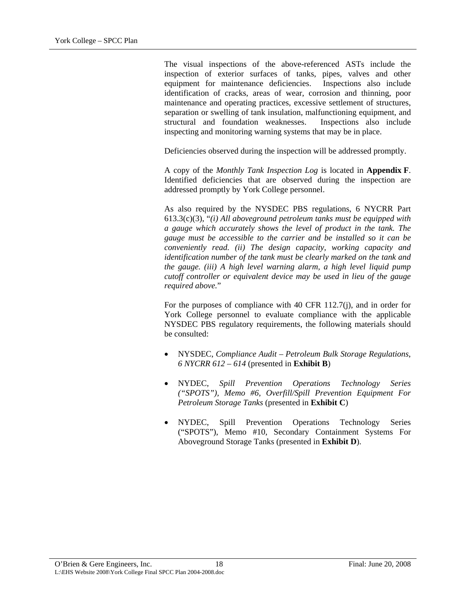The visual inspections of the above-referenced ASTs include the inspection of exterior surfaces of tanks, pipes, valves and other equipment for maintenance deficiencies. Inspections also include identification of cracks, areas of wear, corrosion and thinning, poor maintenance and operating practices, excessive settlement of structures, separation or swelling of tank insulation, malfunctioning equipment, and structural and foundation weaknesses. Inspections also include inspecting and monitoring warning systems that may be in place.

Deficiencies observed during the inspection will be addressed promptly.

A copy of the *Monthly Tank Inspection Log* is located in **Appendix F**. Identified deficiencies that are observed during the inspection are addressed promptly by York College personnel.

As also required by the NYSDEC PBS regulations, 6 NYCRR Part 613.3(c)(3), "*(i) All aboveground petroleum tanks must be equipped with a gauge which accurately shows the level of product in the tank. The gauge must be accessible to the carrier and be installed so it can be conveniently read. (ii) The design capacity, working capacity and identification number of the tank must be clearly marked on the tank and the gauge. (iii) A high level warning alarm, a high level liquid pump cutoff controller or equivalent device may be used in lieu of the gauge required above.*"

For the purposes of compliance with 40 CFR 112.7(j), and in order for York College personnel to evaluate compliance with the applicable NYSDEC PBS regulatory requirements, the following materials should be consulted:

- NYSDEC, *Compliance Audit Petroleum Bulk Storage Regulations*, *6 NYCRR 612 – 614* (presented in **Exhibit B**)
- NYDEC, *Spill Prevention Operations Technology Series ("SPOTS"), Memo #6, Overfill/Spill Prevention Equipment For Petroleum Storage Tanks* (presented in **Exhibit C**)
- NYDEC, Spill Prevention Operations Technology Series ("SPOTS"), Memo #10, Secondary Containment Systems For Aboveground Storage Tanks (presented in **Exhibit D**).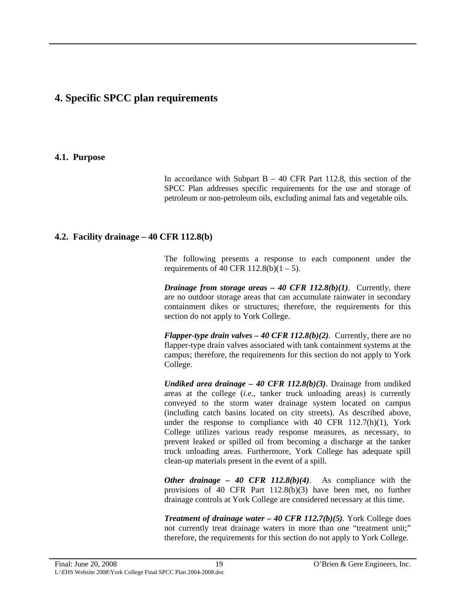# <span id="page-30-0"></span>**4. Specific SPCC plan requirements**

#### **4.1. Purpose**

In accordance with Subpart  $B - 40$  CFR Part 112.8, this section of the SPCC Plan addresses specific requirements for the use and storage of petroleum or non-petroleum oils, excluding animal fats and vegetable oils.

### **4.2. Facility drainage – 40 CFR 112.8(b)**

The following presents a response to each component under the requirements of 40 CFR  $112.8(b)(1 – 5)$ .

*Drainage from storage areas – 40 CFR 112.8(b)(1).* Currently, there are no outdoor storage areas that can accumulate rainwater in secondary containment dikes or structures; therefore, the requirements for this section do not apply to York College.

*Flapper-type drain valves – 40 CFR 112.8(b)(2).* Currently, there are no flapper-type drain valves associated with tank containment systems at the campus; therefore, the requirements for this section do not apply to York College.

*Undiked area drainage – 40 CFR 112.8(b)(3)*. Drainage from undiked areas at the college (*i.e.*, tanker truck unloading areas) is currently conveyed to the storm water drainage system located on campus (including catch basins located on city streets). As described above, under the response to compliance with 40 CFR  $112.7(h)(1)$ , York College utilizes various ready response measures, as necessary, to prevent leaked or spilled oil from becoming a discharge at the tanker truck unloading areas. Furthermore, York College has adequate spill clean-up materials present in the event of a spill.

*Other drainage – 40 CFR 112.8(b)(4).* As compliance with the provisions of 40 CFR Part 112.8(b)(3) have been met, no further drainage controls at York College are considered necessary at this time.

*Treatment of drainage water – 40 CFR 112.7(b)(5).* York College does not currently treat drainage waters in more than one "treatment unit;" therefore, the requirements for this section do not apply to York College.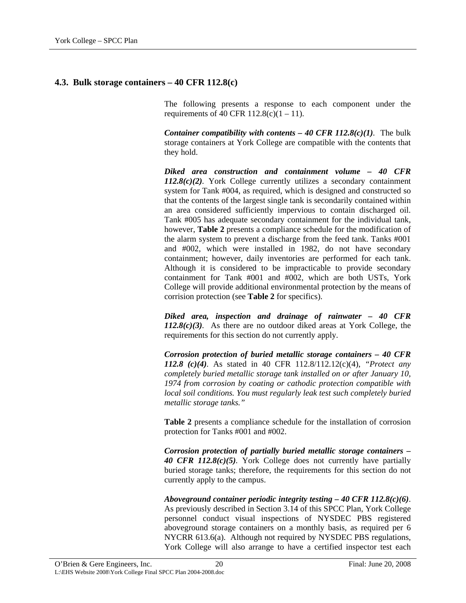#### <span id="page-31-0"></span>**4.3. Bulk storage containers – 40 CFR 112.8(c)**

The following presents a response to each component under the requirements of 40 CFR  $112.8(c)(1 – 11)$ .

*Container compatibility with contents – 40 CFR 112.8(c)(1).* The bulk storage containers at York College are compatible with the contents that they hold.

*Diked area construction and containment volume – 40 CFR 112.8(c)(2).* York College currently utilizes a secondary containment system for Tank #004, as required, which is designed and constructed so that the contents of the largest single tank is secondarily contained within an area considered sufficiently impervious to contain discharged oil. Tank #005 has adequate secondary containment for the individual tank, however, **Table 2** presents a compliance schedule for the modification of the alarm system to prevent a discharge from the feed tank. Tanks #001 and #002, which were installed in 1982, do not have secondary containment; however, daily inventories are performed for each tank. Although it is considered to be impracticable to provide secondary containment for Tank #001 and #002, which are both USTs, York College will provide additional environmental protection by the means of corrision protection (see **Table 2** for specifics).

*Diked area, inspection and drainage of rainwater – 40 CFR 112.8(c)(3).* As there are no outdoor diked areas at York College, the requirements for this section do not currently apply.

*Corrosion protection of buried metallic storage containers – 40 CFR 112.8 (c)(4).* As stated in 40 CFR 112.8/112.12(c)(4), *"Protect any completely buried metallic storage tank installed on or after January 10, 1974 from corrosion by coating or cathodic protection compatible with local soil conditions. You must regularly leak test such completely buried metallic storage tanks."* 

**Table 2** presents a compliance schedule for the installation of corrosion protection for Tanks #001 and #002.

*Corrosion protection of partially buried metallic storage containers – 40 CFR 112.8(c)(5).* York College does not currently have partially buried storage tanks; therefore, the requirements for this section do not currently apply to the campus.

*Aboveground container periodic integrity testing – 40 CFR 112.8(c)(6)*. As previously described in Section 3.14 of this SPCC Plan, York College personnel conduct visual inspections of NYSDEC PBS registered aboveground storage containers on a monthly basis, as required per 6 NYCRR 613.6(a). Although not required by NYSDEC PBS regulations, York College will also arrange to have a certified inspector test each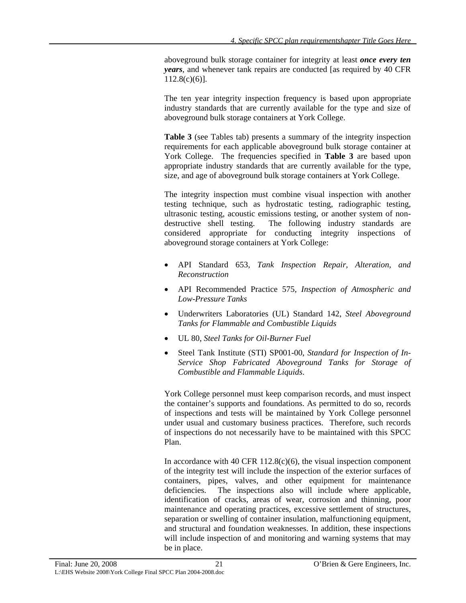aboveground bulk storage container for integrity at least *once every ten years*, and whenever tank repairs are conducted [as required by 40 CFR  $112.8(c)(6)$ ].

The ten year integrity inspection frequency is based upon appropriate industry standards that are currently available for the type and size of aboveground bulk storage containers at York College.

**Table 3** (see Tables tab) presents a summary of the integrity inspection requirements for each applicable aboveground bulk storage container at York College. The frequencies specified in **Table 3** are based upon appropriate industry standards that are currently available for the type, size, and age of aboveground bulk storage containers at York College.

The integrity inspection must combine visual inspection with another testing technique, such as hydrostatic testing, radiographic testing, ultrasonic testing, acoustic emissions testing, or another system of nondestructive shell testing. The following industry standards are considered appropriate for conducting integrity inspections of aboveground storage containers at York College:

- API Standard 653, *Tank Inspection Repair, Alteration, and Reconstruction*
- API Recommended Practice 575, *Inspection of Atmospheric and Low-Pressure Tanks*
- Underwriters Laboratories (UL) Standard 142, *Steel Aboveground Tanks for Flammable and Combustible Liquids*
- UL 80, *Steel Tanks for Oil-Burner Fuel*
- Steel Tank Institute (STI) SP001-00, *Standard for Inspection of In-Service Shop Fabricated Aboveground Tanks for Storage of Combustible and Flammable Liquids*.

York College personnel must keep comparison records, and must inspect the container's supports and foundations. As permitted to do so, records of inspections and tests will be maintained by York College personnel under usual and customary business practices. Therefore, such records of inspections do not necessarily have to be maintained with this SPCC Plan.

In accordance with 40 CFR  $112.8(c)(6)$ , the visual inspection component of the integrity test will include the inspection of the exterior surfaces of containers, pipes, valves, and other equipment for maintenance deficiencies. The inspections also will include where applicable, identification of cracks, areas of wear, corrosion and thinning, poor maintenance and operating practices, excessive settlement of structures, separation or swelling of container insulation, malfunctioning equipment, and structural and foundation weaknesses. In addition, these inspections will include inspection of and monitoring and warning systems that may be in place.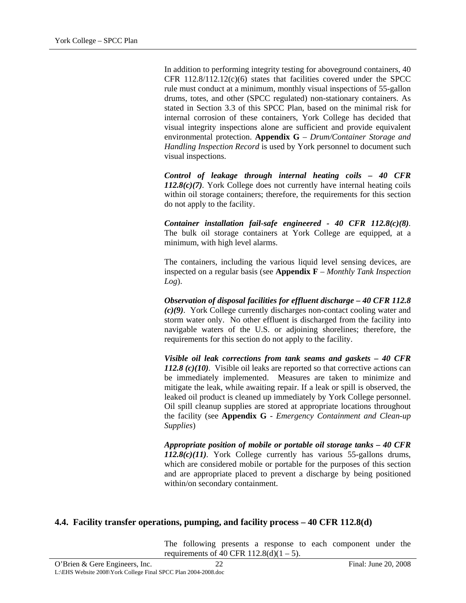<span id="page-33-0"></span>In addition to performing integrity testing for aboveground containers, 40 CFR 112.8/112.12(c)(6) states that facilities covered under the SPCC rule must conduct at a minimum, monthly visual inspections of 55-gallon drums, totes, and other (SPCC regulated) non-stationary containers. As stated in Section 3.3 of this SPCC Plan, based on the minimal risk for internal corrosion of these containers, York College has decided that visual integrity inspections alone are sufficient and provide equivalent environmental protection. **Appendix G** – *Drum/Container Storage and Handling Inspection Record* is used by York personnel to document such visual inspections.

*Control of leakage through internal heating coils – 40 CFR 112.8(c)(7).* York College does not currently have internal heating coils within oil storage containers; therefore, the requirements for this section do not apply to the facility.

*Container installation fail-safe engineered - 40 CFR 112.8(c)(8).* The bulk oil storage containers at York College are equipped, at a minimum, with high level alarms.

The containers, including the various liquid level sensing devices, are inspected on a regular basis (see **Appendix F** – *Monthly Tank Inspection Log*).

*Observation of disposal facilities for effluent discharge – 40 CFR 112.8 (c)(9)*. York College currently discharges non-contact cooling water and storm water only. No other effluent is discharged from the facility into navigable waters of the U.S. or adjoining shorelines; therefore, the requirements for this section do not apply to the facility.

*Visible oil leak corrections from tank seams and gaskets – 40 CFR 112.8 (c)(10).* Visible oil leaks are reported so that corrective actions can be immediately implemented. Measures are taken to minimize and mitigate the leak, while awaiting repair. If a leak or spill is observed, the leaked oil product is cleaned up immediately by York College personnel. Oil spill cleanup supplies are stored at appropriate locations throughout the facility (see **Appendix G** - *Emergency Containment and Clean-up Supplies*)

*Appropriate position of mobile or portable oil storage tanks – 40 CFR 112.8(c)(11).* York College currently has various 55-gallons drums, which are considered mobile or portable for the purposes of this section and are appropriate placed to prevent a discharge by being positioned within/on secondary containment.

# **4.4. Facility transfer operations, pumping, and facility process – 40 CFR 112.8(d)**

The following presents a response to each component under the requirements of 40 CFR  $112.8(d)(1 – 5)$ .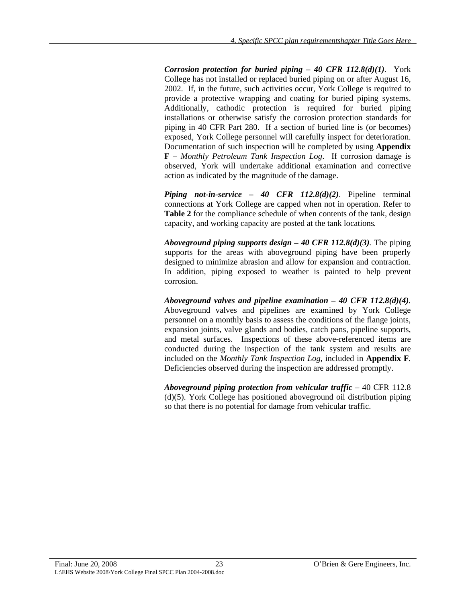*Corrosion protection for buried piping – 40 CFR 112.8(d)(1).* York College has not installed or replaced buried piping on or after August 16, 2002. If, in the future, such activities occur, York College is required to provide a protective wrapping and coating for buried piping systems. Additionally, cathodic protection is required for buried piping installations or otherwise satisfy the corrosion protection standards for piping in 40 CFR Part 280. If a section of buried line is (or becomes) exposed, York College personnel will carefully inspect for deterioration. Documentation of such inspection will be completed by using **Appendix F** – *Monthly Petroleum Tank Inspection Log*. If corrosion damage is observed, York will undertake additional examination and corrective action as indicated by the magnitude of the damage.

*Piping not-in-service – 40 CFR 112.8(d)(2)*. Pipeline terminal connections at York College are capped when not in operation. Refer to **Table 2** for the compliance schedule of when contents of the tank, design capacity, and working capacity are posted at the tank locations*.* 

*Aboveground piping supports design – 40 CFR 112.8(d)(3).* The piping supports for the areas with aboveground piping have been properly designed to minimize abrasion and allow for expansion and contraction. In addition, piping exposed to weather is painted to help prevent corrosion.

*Aboveground valves and pipeline examination – 40 CFR 112.8(d)(4).* Aboveground valves and pipelines are examined by York College personnel on a monthly basis to assess the conditions of the flange joints, expansion joints, valve glands and bodies, catch pans, pipeline supports, and metal surfaces. Inspections of these above-referenced items are conducted during the inspection of the tank system and results are included on the *Monthly Tank Inspection Log,* included in **Appendix F***.* Deficiencies observed during the inspection are addressed promptly.

*Aboveground piping protection from vehicular traffic* – 40 CFR 112.8 (d)(5). York College has positioned aboveground oil distribution piping so that there is no potential for damage from vehicular traffic.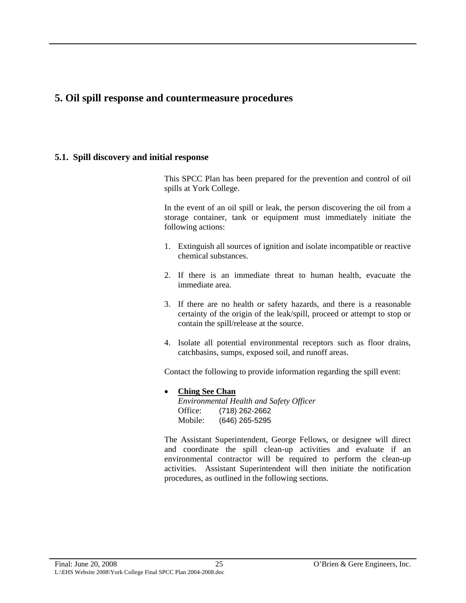# <span id="page-36-0"></span>**5. Oil spill response and countermeasure procedures**

# **5.1. Spill discovery and initial response**

This SPCC Plan has been prepared for the prevention and control of oil spills at York College.

In the event of an oil spill or leak, the person discovering the oil from a storage container, tank or equipment must immediately initiate the following actions:

- 1. Extinguish all sources of ignition and isolate incompatible or reactive chemical substances.
- 2. If there is an immediate threat to human health, evacuate the immediate area.
- 3. If there are no health or safety hazards, and there is a reasonable certainty of the origin of the leak/spill, proceed or attempt to stop or contain the spill/release at the source.
- 4. Isolate all potential environmental receptors such as floor drains, catchbasins, sumps, exposed soil, and runoff areas.

Contact the following to provide information regarding the spill event:

• **Ching See Chan** *Environmental Health and Safety Officer*  Office: (718) 262-2662 Mobile: (646) 265-5295

The Assistant Superintendent, George Fellows, or designee will direct and coordinate the spill clean-up activities and evaluate if an environmental contractor will be required to perform the clean-up activities. Assistant Superintendent will then initiate the notification procedures, as outlined in the following sections.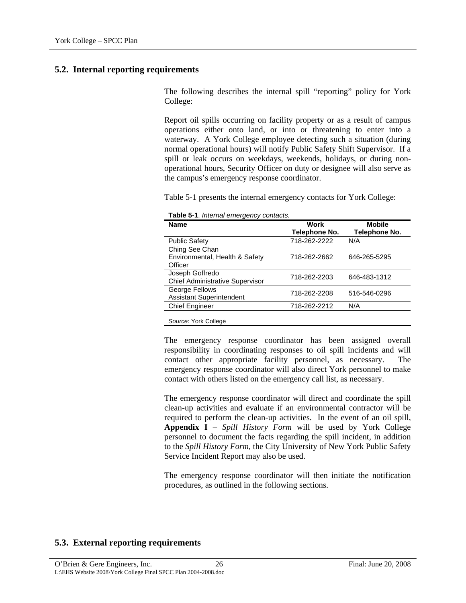# <span id="page-37-0"></span>**5.2. Internal reporting requirements**

The following describes the internal spill "reporting" policy for York College:

Report oil spills occurring on facility property or as a result of campus operations either onto land, or into or threatening to enter into a waterway. A York College employee detecting such a situation (during normal operational hours) will notify Public Safety Shift Supervisor. If a spill or leak occurs on weekdays, weekends, holidays, or during nonoperational hours, Security Officer on duty or designee will also serve as the campus's emergency response coordinator.

Table 5-1 presents the internal emergency contacts for York College:

| <b>Name</b>                                                 | Work<br>Telephone No. | <b>Mobile</b><br>Telephone No. |
|-------------------------------------------------------------|-----------------------|--------------------------------|
| <b>Public Safety</b>                                        | 718-262-2222          | N/A                            |
| Ching See Chan<br>Environmental, Health & Safety<br>Officer | 718-262-2662          | 646-265-5295                   |
| Joseph Goffredo<br><b>Chief Administrative Supervisor</b>   | 718-262-2203          | 646-483-1312                   |
| George Fellows<br><b>Assistant Superintendent</b>           | 718-262-2208          | 516-546-0296                   |
| <b>Chief Engineer</b>                                       | 718-262-2212          | N/A                            |
| Source: York College                                        |                       |                                |

**Table 5-1**. *Internal emergency contacts.*

The emergency response coordinator has been assigned overall responsibility in coordinating responses to oil spill incidents and will contact other appropriate facility personnel, as necessary. The emergency response coordinator will also direct York personnel to make contact with others listed on the emergency call list, as necessary.

The emergency response coordinator will direct and coordinate the spill clean-up activities and evaluate if an environmental contractor will be required to perform the clean-up activities. In the event of an oil spill, **Appendix I** – *Spill History Form* will be used by York College personnel to document the facts regarding the spill incident, in addition to the *Spill History Form,* the City University of New York Public Safety Service Incident Report may also be used.

The emergency response coordinator will then initiate the notification procedures, as outlined in the following sections.

# **5.3. External reporting requirements**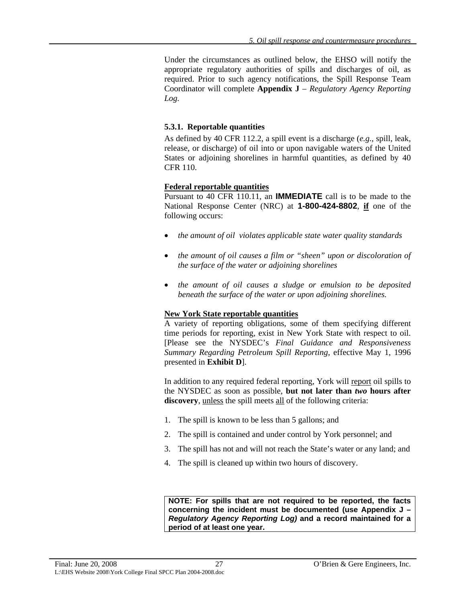<span id="page-38-0"></span>Under the circumstances as outlined below, the EHSO will notify the appropriate regulatory authorities of spills and discharges of oil, as required. Prior to such agency notifications, the Spill Response Team Coordinator will complete **Appendix J** – *Regulatory Agency Reporting Log.*

#### **5.3.1. Reportable quantities**

As defined by 40 CFR 112.2, a spill event is a discharge (*e.g.*, spill, leak, release, or discharge) of oil into or upon navigable waters of the United States or adjoining shorelines in harmful quantities, as defined by 40 CFR 110.

### **Federal reportable quantities**

Pursuant to 40 CFR 110.11, an **IMMEDIATE** call is to be made to the National Response Center (NRC) at **1-800-424-8802**, **if** one of the following occurs:

- *the amount of oil violates applicable state water quality standards*
- *the amount of oil causes a film or "sheen" upon or discoloration of the surface of the water or adjoining shorelines*
- *the amount of oil causes a sludge or emulsion to be deposited beneath the surface of the water or upon adjoining shorelines.*

# **New York State reportable quantities**

A variety of reporting obligations, some of them specifying different time periods for reporting, exist in New York State with respect to oil. [Please see the NYSDEC's *Final Guidance and Responsiveness Summary Regarding Petroleum Spill Reporting*, effective May 1, 1996 presented in **Exhibit D**].

In addition to any required federal reporting, York will report oil spills to the NYSDEC as soon as possible, **but not later than** *two* **hours after discovery**, unless the spill meets all of the following criteria:

- 1. The spill is known to be less than 5 gallons; and
- 2. The spill is contained and under control by York personnel; and
- 3. The spill has not and will not reach the State's water or any land; and
- 4. The spill is cleaned up within two hours of discovery.

**NOTE: For spills that are not required to be reported, the facts concerning the incident must be documented (use Appendix J –**  *Regulatory Agency Reporting Log)* **and a record maintained for a period of at least one year.**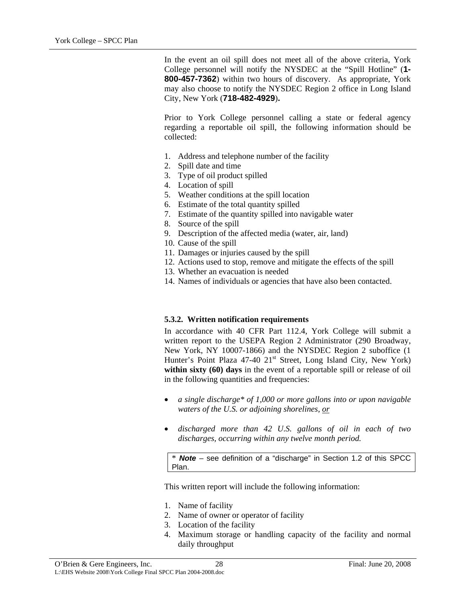<span id="page-39-0"></span>In the event an oil spill does not meet all of the above criteria, York College personnel will notify the NYSDEC at the "Spill Hotline" (**1- 800-457-7362**) within two hours of discovery. As appropriate, York may also choose to notify the NYSDEC Region 2 office in Long Island City, New York (**718-482-4929**)**.**

Prior to York College personnel calling a state or federal agency regarding a reportable oil spill, the following information should be collected:

- 1. Address and telephone number of the facility
- 2. Spill date and time
- 3. Type of oil product spilled
- 4. Location of spill
- 5. Weather conditions at the spill location
- 6. Estimate of the total quantity spilled
- 7. Estimate of the quantity spilled into navigable water
- 8. Source of the spill
- 9. Description of the affected media (water, air, land)
- 10. Cause of the spill
- 11. Damages or injuries caused by the spill
- 12. Actions used to stop, remove and mitigate the effects of the spill
- 13. Whether an evacuation is needed
- 14. Names of individuals or agencies that have also been contacted.

#### **5.3.2. Written notification requirements**

In accordance with 40 CFR Part 112.4, York College will submit a written report to the USEPA Region 2 Administrator (290 Broadway, New York, NY 10007-1866) and the NYSDEC Region 2 suboffice (1 Hunter's Point Plaza 47-40 21<sup>st</sup> Street, Long Island City, New York) **within sixty (60) days** in the event of a reportable spill or release of oil in the following quantities and frequencies:

- *a single discharge\* of 1,000 or more gallons into or upon navigable waters of the U.S. or adjoining shorelines, or* •
- *discharged more than 42 U.S. gallons of oil in each of two discharges, occurring within any twelve month period.*  •

\* *Note –* see definition of a "discharge" in Section 1.2 of this SPCC Plan.

This written report will include the following information:

- 1. Name of facility
- 2. Name of owner or operator of facility
- 3. Location of the facility
- 4. Maximum storage or handling capacity of the facility and normal daily throughput